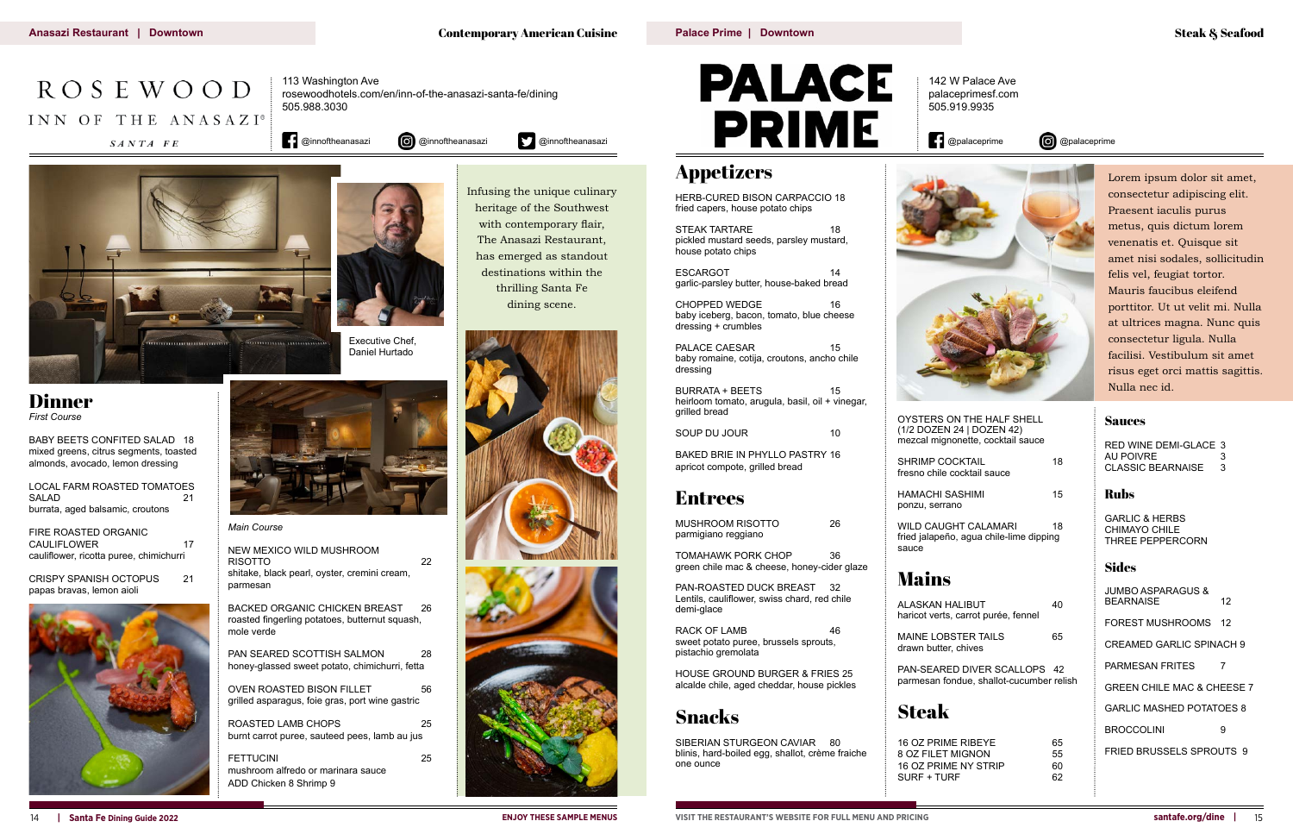# **@palaceprime** @@palaceprime

| RIBEYE   | 65 |
|----------|----|
| GNON     | 55 |
| JY STRIP | 60 |
|          | 62 |

RED WINE DEMI-GLACE 3 AU POIVRE 3 CLASSIC BEARNAISE 3

# Rubs

GARLIC & HERBS CHIMAYO CHILE THREE PEPPERCORN

# Sides

JUMBO ASPARAGUS & BEARNAISE 12 FOREST MUSHROOMS 12 CREAMED GARLIC SPINACH 9 PARMESAN FRITES 7 GREEN CHILE MAC & CHEESE 7 GARLIC MASHED POTATOES 8 BROCCOLINI 9 FRIED BRUSSELS SPROUTS 9

OYSTERS ON THE HALF SHELL

(1/2 DOZEN 24 | DOZEN 42) mezcal mignonette, cocktail sauce SHRIMP COCKTAIL 18 fresno chile cocktail sauce HAMACHI SASHIMI 15 ponzu, serrano WILD CAUGHT CALAMARI 18 fried jalapeño, agua chile-lime dipping Mains ALASKAN HALIBUT 40 haricot verts, carrot purée, fennel MAINE LOBSTER TAILS 65 drawn butter, chives PAN-SEARED DIVER SCALLOPS 42 parmesan fondue, shallot-cucumber relish Steak

16 OZ PRIME F 8 OZ FILET MIC 16 OZ PRIME N  $SURF + TURF$ 

sauce

STEAK TARTARE 18 pickled mustard seeds, parsley mustard,

ESCARGOT 14 garlic-parsley butter, house-baked bread CHOPPED WEDGE 16 baby iceberg, bacon, tomato, blue cheese

PALACE CAESAR 15 baby romaine, cotija, croutons, ancho chile

BURRATA + BEETS 15 heirloom tomato, arugula, basil, oil + vinegar,

SOUP DU JOUR 10





RACK OF LAMB 46 sweet potato puree, brussels sprouts,

142 W Palace Ave palaceprimesf.com 505.919.9935







SIBERIAN STURGEON CAVIAR 80 blinis, hard-boiled egg, shallot, crème fraiche

BABY BEETS CONFITED SALAD 18 mixed greens, citrus segments, toasted almonds, avocado, lemon dressing

LOCAL FARM ROASTED TOMATOES SALAD 21 burrata, aged balsamic, croutons

> PAN SEARED SCOTTISH SALMON 28 honey-glassed sweet potato, chimichurri, fetta

FIRE ROASTED ORGANIC CAULIFLOWER 17 cauliflower, ricotta puree, chimichurri

> OVEN ROASTED BISON FILLET 56 grilled asparagus, foie gras, port wine gastric

> ROASTED LAMB CHOPS 25 burnt carrot puree, sauteed pees, lamb au jus

CRISPY SPANISH OCTOPUS 21 papas bravas, lemon aioli



Appetizers

HERB-CURED BISON CARPACCIO 18 fried capers, house potato chips

house potato chips

dressing + crumbles

dressing

grilled bread

BAKED BRIE IN PHYLLO PASTRY 16

apricot compote, grilled bread

# $ROSEWOOD$ INN OF THE ANASAZI®

 $SANTA$  FE

Entrees

demi-glace

MUSHROOM RISOTTO 26

parmigiano reggiano

TOMAHAWK PORK CHOP 36

green chile mac & cheese, honey-cider glaze

PAN-ROASTED DUCK BREAST 32 Lentils, cauliflower, swiss chard, red chile

pistachio gremolata

HOUSE GROUND BURGER & FRIES 25 alcalde chile, aged cheddar, house pickles

Snacks

one ounce

Executive Chef, Daniel Hurtado

*Main Course*

NEW MEXICO WILD MUSHROOM RISOTTO 22 shitake, black pearl, oyster, cremini cream, parmesan

BACKED ORGANIC CHICKEN BREAST 26 roasted fingerling potatoes, butternut squash, mole verde

FETTUCINI 25 mushroom alfredo or marinara sauce ADD Chicken 8 Shrimp 9

Infusing the unique culinary heritage of the Southwest with contemporary flair, The Anasazi Restaurant, has emerged as standout destinations within the thrilling Santa Fe dining scene.





**PALACE PRIME** 

**Anasazi Restaurant | Downtown Palace Prime | Downtown** Steak & Seafood Contemporary American Cuisine

Lorem ipsum dolor sit amet, consectetur adipiscing elit. Praesent iaculis purus metus, quis dictum lorem venenatis et. Quisque sit amet nisi sodales, sollicitudin felis vel, feugiat tortor. Mauris faucibus eleifend porttitor. Ut ut velit mi. Nulla at ultrices magna. Nunc quis consectetur ligula. Nulla facilisi. Vestibulum sit amet risus eget orci mattis sagittis. Nulla nec id.

### **Sauces**